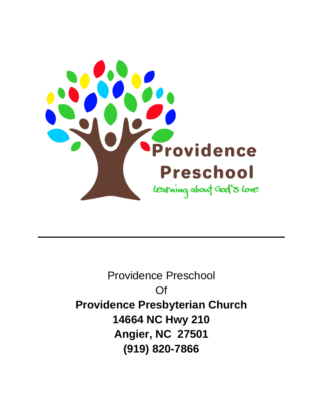

Providence Preschool Of **Providence Presbyterian Church 14664 NC Hwy 210 Angier, NC 27501 (919) 820-7866**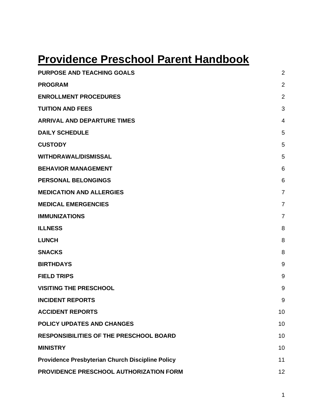# **Providence Preschool Parent Handbook**

| <b>PURPOSE AND TEACHING GOALS</b>                | $\overline{2}$ |
|--------------------------------------------------|----------------|
| <b>PROGRAM</b>                                   | $\overline{2}$ |
| <b>ENROLLMENT PROCEDURES</b>                     | $\overline{2}$ |
| <b>TUITION AND FEES</b>                          | 3              |
| <b>ARRIVAL AND DEPARTURE TIMES</b>               | 4              |
| <b>DAILY SCHEDULE</b>                            | 5              |
| <b>CUSTODY</b>                                   | 5              |
| <b>WITHDRAWAL/DISMISSAL</b>                      | 5              |
| <b>BEHAVIOR MANAGEMENT</b>                       | 6              |
| <b>PERSONAL BELONGINGS</b>                       | 6              |
| <b>MEDICATION AND ALLERGIES</b>                  | $\overline{7}$ |
| <b>MEDICAL EMERGENCIES</b>                       | $\overline{7}$ |
| <b>IMMUNIZATIONS</b>                             | $\overline{7}$ |
| <b>ILLNESS</b>                                   | 8              |
| <b>LUNCH</b>                                     | 8              |
| <b>SNACKS</b>                                    | 8              |
| <b>BIRTHDAYS</b>                                 | 9              |
| <b>FIELD TRIPS</b>                               | 9              |
| <b>VISITING THE PRESCHOOL</b>                    | 9              |
| <b>INCIDENT REPORTS</b>                          | 9              |
| <b>ACCIDENT REPORTS</b>                          | 10             |
| <b>POLICY UPDATES AND CHANGES</b>                | 10             |
| <b>RESPONSIBILITIES OF THE PRESCHOOL BOARD</b>   | 10             |
| <b>MINISTRY</b>                                  | 10             |
| Providence Presbyterian Church Discipline Policy | 11             |
| PROVIDENCE PRESCHOOL AUTHORIZATION FORM          | 12             |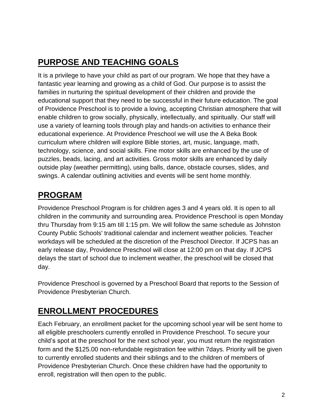# <span id="page-2-0"></span>**PURPOSE AND TEACHING GOALS**

It is a privilege to have your child as part of our program. We hope that they have a fantastic year learning and growing as a child of God. Our purpose is to assist the families in nurturing the spiritual development of their children and provide the educational support that they need to be successful in their future education. The goal of Providence Preschool is to provide a loving, accepting Christian atmosphere that will enable children to grow socially, physically, intellectually, and spiritually. Our staff will use a variety of learning tools through play and hands-on activities to enhance their educational experience. At Providence Preschool we will use the A Beka Book curriculum where children will explore Bible stories, art, music, language, math, technology, science, and social skills. Fine motor skills are enhanced by the use of puzzles, beads, lacing, and art activities. Gross motor skills are enhanced by daily outside play (weather permitting), using balls, dance, obstacle courses, slides, and swings. A calendar outlining activities and events will be sent home monthly.

#### <span id="page-2-1"></span>**PROGRAM**

Providence Preschool Program is for children ages 3 and 4 years old. It is open to all children in the community and surrounding area. Providence Preschool is open Monday thru Thursday from 9:15 am till 1:15 pm. We will follow the same schedule as Johnston County Public Schools' traditional calendar and inclement weather policies. Teacher workdays will be scheduled at the discretion of the Preschool Director. If JCPS has an early release day, Providence Preschool will close at 12:00 pm on that day. If JCPS delays the start of school due to inclement weather, the preschool will be closed that day.

Providence Preschool is governed by a Preschool Board that reports to the Session of Providence Presbyterian Church.

### <span id="page-2-2"></span>**ENROLLMENT PROCEDURES**

Each February, an enrollment packet for the upcoming school year will be sent home to all eligible preschoolers currently enrolled in Providence Preschool. To secure your child's spot at the preschool for the next school year, you must return the registration form and the \$125.00 non-refundable registration fee within 7days. Priority will be given to currently enrolled students and their siblings and to the children of members of Providence Presbyterian Church. Once these children have had the opportunity to enroll, registration will then open to the public.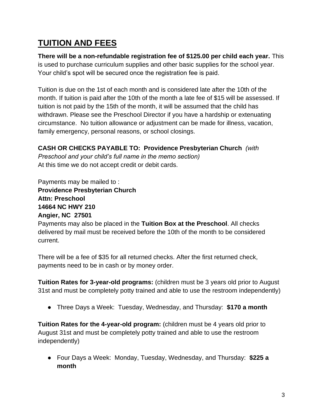### <span id="page-3-0"></span>**TUITION AND FEES**

**There will be a non-refundable registration fee of \$125.00 per child each year.** This is used to purchase curriculum supplies and other basic supplies for the school year. Your child's spot will be secured once the registration fee is paid.

Tuition is due on the 1st of each month and is considered late after the 10th of the month. If tuition is paid after the 10th of the month a late fee of \$15 will be assessed. If tuition is not paid by the 15th of the month, it will be assumed that the child has withdrawn. Please see the Preschool Director if you have a hardship or extenuating circumstance. No tuition allowance or adjustment can be made for illness, vacation, family emergency, personal reasons, or school closings.

**CASH OR CHECKS PAYABLE TO: Providence Presbyterian Church** *(with Preschool and your child's full name in the memo section)* At this time we do not accept credit or debit cards.

Payments may be mailed to : **Providence Presbyterian Church Attn: Preschool 14664 NC HWY 210 Angier, NC 27501**

Payments may also be placed in the **Tuition Box at the Preschool**. All checks delivered by mail must be received before the 10th of the month to be considered current.

There will be a fee of \$35 for all returned checks. After the first returned check, payments need to be in cash or by money order.

**Tuition Rates for 3-year-old programs:** (children must be 3 years old prior to August 31st and must be completely potty trained and able to use the restroom independently)

● Three Days a Week: Tuesday, Wednesday, and Thursday: **\$170 a month**

**Tuition Rates for the 4-year-old program:** (children must be 4 years old prior to August 31st and must be completely potty trained and able to use the restroom independently)

● Four Days a Week: Monday, Tuesday, Wednesday, and Thursday: **\$225 a month**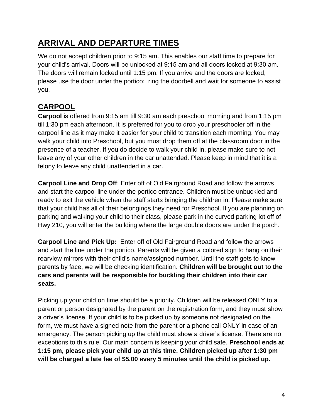### <span id="page-4-0"></span>**ARRIVAL AND DEPARTURE TIMES**

We do not accept children prior to 9:15 am. This enables our staff time to prepare for your child's arrival. Doors will be unlocked at 9:15 am and all doors locked at 9:30 am. The doors will remain locked until 1:15 pm. If you arrive and the doors are locked, please use the door under the portico: ring the doorbell and wait for someone to assist you.

#### **CARPOOL**

**Carpool** is offered from 9:15 am till 9:30 am each preschool morning and from 1:15 pm till 1:30 pm each afternoon. It is preferred for you to drop your preschooler off in the carpool line as it may make it easier for your child to transition each morning. You may walk your child into Preschool, but you must drop them off at the classroom door in the presence of a teacher. If you do decide to walk your child in, please make sure to not leave any of your other children in the car unattended. Please keep in mind that it is a felony to leave any child unattended in a car.

**Carpool Line and Drop Off**: Enter off of Old Fairground Road and follow the arrows and start the carpool line under the portico entrance. Children must be unbuckled and ready to exit the vehicle when the staff starts bringing the children in. Please make sure that your child has all of their belongings they need for Preschool. If you are planning on parking and walking your child to their class, please park in the curved parking lot off of Hwy 210, you will enter the building where the large double doors are under the porch.

**Carpool Line and Pick Up:** Enter off of Old Fairground Road and follow the arrows and start the line under the portico. Parents will be given a colored sign to hang on their rearview mirrors with their child's name/assigned number. Until the staff gets to know parents by face, we will be checking identification. **Children will be brought out to the cars and parents will be responsible for buckling their children into their car seats.** 

Picking up your child on time should be a priority. Children will be released ONLY to a parent or person designated by the parent on the registration form, and they must show a driver's license. If your child is to be picked up by someone not designated on the form, we must have a signed note from the parent or a phone call ONLY in case of an emergency. The person picking up the child must show a driver's license. There are no exceptions to this rule. Our main concern is keeping your child safe. **Preschool ends at 1:15 pm, please pick your child up at this time. Children picked up after 1:30 pm will be charged a late fee of \$5.00 every 5 minutes until the child is picked up.**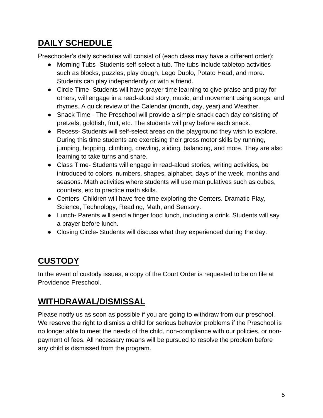# <span id="page-5-0"></span>**DAILY SCHEDULE**

Preschooler's daily schedules will consist of (each class may have a different order):

- Morning Tubs- Students self-select a tub. The tubs include tabletop activities such as blocks, puzzles, play dough, Lego Duplo, Potato Head, and more. Students can play independently or with a friend.
- Circle Time- Students will have prayer time learning to give praise and pray for others, will engage in a read-aloud story, music, and movement using songs, and rhymes. A quick review of the Calendar (month, day, year) and Weather.
- Snack Time The Preschool will provide a simple snack each day consisting of pretzels, goldfish, fruit, etc. The students will pray before each snack.
- Recess- Students will self-select areas on the playground they wish to explore. During this time students are exercising their gross motor skills by running, jumping, hopping, climbing, crawling, sliding, balancing, and more. They are also learning to take turns and share.
- Class Time- Students will engage in read-aloud stories, writing activities, be introduced to colors, numbers, shapes, alphabet, days of the week, months and seasons. Math activities where students will use manipulatives such as cubes, counters, etc to practice math skills.
- Centers- Children will have free time exploring the Centers. Dramatic Play, Science, Technology, Reading, Math, and Sensory.
- Lunch- Parents will send a finger food lunch, including a drink. Students will say a prayer before lunch.
- Closing Circle- Students will discuss what they experienced during the day.

# <span id="page-5-1"></span>**CUSTODY**

In the event of custody issues, a copy of the Court Order is requested to be on file at Providence Preschool.

#### <span id="page-5-2"></span>**WITHDRAWAL/DISMISSAL**

Please notify us as soon as possible if you are going to withdraw from our preschool. We reserve the right to dismiss a child for serious behavior problems if the Preschool is no longer able to meet the needs of the child, non-compliance with our policies, or nonpayment of fees. All necessary means will be pursued to resolve the problem before any child is dismissed from the program.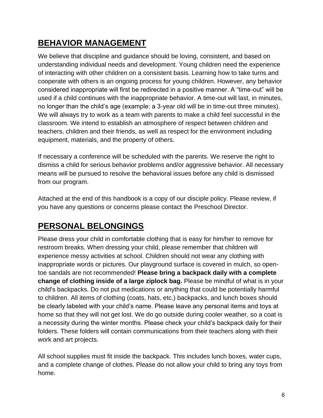## <span id="page-6-0"></span>**BEHAVIOR MANAGEMENT**

We believe that discipline and guidance should be loving, consistent, and based on understanding individual needs and development. Young children need the experience of interacting with other children on a consistent basis. Learning how to take turns and cooperate with others is an ongoing process for young children. However, any behavior considered inappropriate will first be redirected in a positive manner. A "time-out" will be used if a child continues with the inappropriate behavior. A time-out will last, in minutes, no longer than the child's age (example: a 3-year old will be in time-out three minutes). We will always try to work as a team with parents to make a child feel successful in the classroom. We intend to establish an atmosphere of respect between children and teachers, children and their friends, as well as respect for the environment including equipment, materials, and the property of others.

If necessary a conference will be scheduled with the parents. We reserve the right to dismiss a child for serious behavior problems and/or aggressive behavior. All necessary means will be pursued to resolve the behavioral issues before any child is dismissed from our program.

Attached at the end of this handbook is a copy of our disciple policy. Please review, if you have any questions or concerns please contact the Preschool Director.

### <span id="page-6-1"></span>**PERSONAL BELONGINGS**

Please dress your child in comfortable clothing that is easy for him/her to remove for restroom breaks. When dressing your child, please remember that children will experience messy activities at school. Children should not wear any clothing with inappropriate words or pictures. Our playground surface is covered in mulch, so opentoe sandals are not recommended! **Please bring a backpack daily with a complete change of clothing inside of a large ziplock bag.** Please be mindful of what is in your child's backpacks. Do not put medications or anything that could be potentially harmful to children. All items of clothing (coats, hats, etc.) backpacks, and lunch boxes should be clearly labeled with your child's name. Please leave any personal items and toys at home so that they will not get lost. We do go outside during cooler weather, so a coat is a necessity during the winter months. Please check your child's backpack daily for their folders. These folders will contain communications from their teachers along with their work and art projects.

All school supplies must fit inside the backpack. This includes lunch boxes, water cups, and a complete change of clothes. Please do not allow your child to bring any toys from home.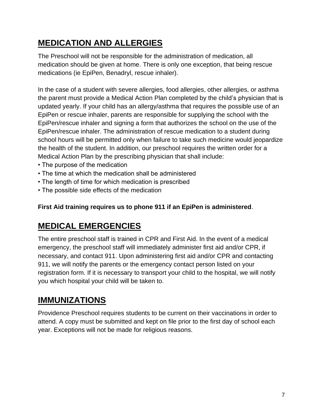# <span id="page-7-0"></span>**MEDICATION AND ALLERGIES**

The Preschool will not be responsible for the administration of medication, all medication should be given at home. There is only one exception, that being rescue medications (ie EpiPen, Benadryl, rescue inhaler).

In the case of a student with severe allergies, food allergies, other allergies, or asthma the parent must provide a Medical Action Plan completed by the child's physician that is updated yearly. If your child has an allergy/asthma that requires the possible use of an EpiPen or rescue inhaler, parents are responsible for supplying the school with the EpiPen/rescue inhaler and signing a form that authorizes the school on the use of the EpiPen/rescue inhaler. The administration of rescue medication to a student during school hours will be permitted only when failure to take such medicine would jeopardize the health of the student. In addition, our preschool requires the written order for a Medical Action Plan by the prescribing physician that shall include:

- The purpose of the medication
- The time at which the medication shall be administered
- The length of time for which medication is prescribed
- The possible side effects of the medication

#### <span id="page-7-1"></span>**First Aid training requires us to phone 911 if an EpiPen is administered**.

#### **MEDICAL EMERGENCIES**

The entire preschool staff is trained in CPR and First Aid. In the event of a medical emergency, the preschool staff will immediately administer first aid and/or CPR, if necessary, and contact 911. Upon administering first aid and/or CPR and contacting 911, we will notify the parents or the emergency contact person listed on your registration form. If it is necessary to transport your child to the hospital, we will notify you which hospital your child will be taken to.

#### <span id="page-7-2"></span>**IMMUNIZATIONS**

Providence Preschool requires students to be current on their vaccinations in order to attend. A copy must be submitted and kept on file prior to the first day of school each year. Exceptions will not be made for religious reasons.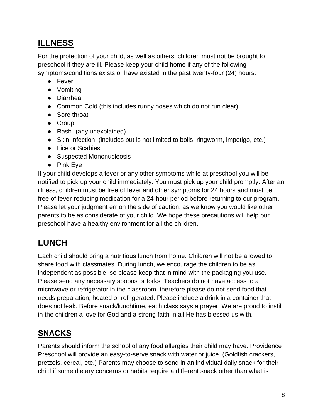### <span id="page-8-0"></span>**ILLNESS**

For the protection of your child, as well as others, children must not be brought to preschool if they are ill. Please keep your child home if any of the following symptoms/conditions exists or have existed in the past twenty-four (24) hours:

- Fever
- Vomiting
- Diarrhea
- Common Cold (this includes runny noses which do not run clear)
- Sore throat
- Croup
- Rash- (any unexplained)
- Skin Infection (includes but is not limited to boils, ringworm, impetigo, etc.)
- Lice or Scabies
- Suspected Mononucleosis
- Pink Eye

If your child develops a fever or any other symptoms while at preschool you will be notified to pick up your child immediately. You must pick up your child promptly. After an illness, children must be free of fever and other symptoms for 24 hours and must be free of fever-reducing medication for a 24-hour period before returning to our program. Please let your judgment err on the side of caution, as we know you would like other parents to be as considerate of your child. We hope these precautions will help our preschool have a healthy environment for all the children.

### <span id="page-8-1"></span>**LUNCH**

Each child should bring a nutritious lunch from home. Children will not be allowed to share food with classmates. During lunch, we encourage the children to be as independent as possible, so please keep that in mind with the packaging you use. Please send any necessary spoons or forks. Teachers do not have access to a microwave or refrigerator in the classroom, therefore please do not send food that needs preparation, heated or refrigerated. Please include a drink in a container that does not leak. Before snack/lunchtime, each class says a prayer. We are proud to instill in the children a love for God and a strong faith in all He has blessed us with.

### <span id="page-8-2"></span>**SNACKS**

Parents should inform the school of any food allergies their child may have. Providence Preschool will provide an easy-to-serve snack with water or juice. (Goldfish crackers, pretzels, cereal, etc.) Parents may choose to send in an individual daily snack for their child if some dietary concerns or habits require a different snack other than what is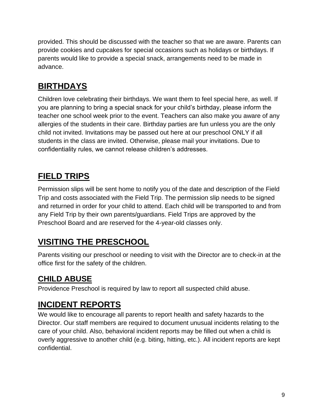provided. This should be discussed with the teacher so that we are aware. Parents can provide cookies and cupcakes for special occasions such as holidays or birthdays. If parents would like to provide a special snack, arrangements need to be made in advance.

# <span id="page-9-0"></span>**BIRTHDAYS**

Children love celebrating their birthdays. We want them to feel special here, as well. If you are planning to bring a special snack for your child's birthday, please inform the teacher one school week prior to the event. Teachers can also make you aware of any allergies of the students in their care. Birthday parties are fun unless you are the only child not invited. Invitations may be passed out here at our preschool ONLY if all students in the class are invited. Otherwise, please mail your invitations. Due to confidentiality rules, we cannot release children's addresses.

# <span id="page-9-1"></span>**FIELD TRIPS**

Permission slips will be sent home to notify you of the date and description of the Field Trip and costs associated with the Field Trip. The permission slip needs to be signed and returned in order for your child to attend. Each child will be transported to and from any Field Trip by their own parents/guardians. Field Trips are approved by the Preschool Board and are reserved for the 4-year-old classes only.

### <span id="page-9-2"></span>**VISITING THE PRESCHOOL**

Parents visiting our preschool or needing to visit with the Director are to check-in at the office first for the safety of the children.

#### **CHILD ABUSE**

Providence Preschool is required by law to report all suspected child abuse.

#### <span id="page-9-3"></span>**INCIDENT REPORTS**

We would like to encourage all parents to report health and safety hazards to the Director. Our staff members are required to document unusual incidents relating to the care of your child. Also, behavioral incident reports may be filled out when a child is overly aggressive to another child (e.g. biting, hitting, etc.). All incident reports are kept confidential.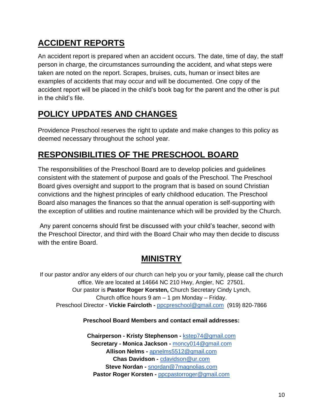# <span id="page-10-0"></span>**ACCIDENT REPORTS**

An accident report is prepared when an accident occurs. The date, time of day, the staff person in charge, the circumstances surrounding the accident, and what steps were taken are noted on the report. Scrapes, bruises, cuts, human or insect bites are examples of accidents that may occur and will be documented. One copy of the accident report will be placed in the child's book bag for the parent and the other is put in the child's file.

### <span id="page-10-1"></span>**POLICY UPDATES AND CHANGES**

Providence Preschool reserves the right to update and make changes to this policy as deemed necessary throughout the school year.

#### <span id="page-10-2"></span>**RESPONSIBILITIES OF THE PRESCHOOL BOARD**

The responsibilities of the Preschool Board are to develop policies and guidelines consistent with the statement of purpose and goals of the Preschool. The Preschool Board gives oversight and support to the program that is based on sound Christian convictions and the highest principles of early childhood education. The Preschool Board also manages the finances so that the annual operation is self-supporting with the exception of utilities and routine maintenance which will be provided by the Church.

Any parent concerns should first be discussed with your child's teacher, second with the Preschool Director, and third with the Board Chair who may then decide to discuss with the entire Board.

#### **MINISTRY**

<span id="page-10-3"></span>If our pastor and/or any elders of our church can help you or your family, please call the church office. We are located at 14664 NC 210 Hwy, Angier, NC 27501. Our pastor is **Pastor Roger Korsten,** Church Secretary Cindy Lynch, Church office hours 9 am – 1 pm Monday – Friday. Preschool Director - **Vickie Faircloth -** [ppcpreschool@gmail.com](mailto:ppcpreschool@gmail.com) (919) 820-7866

#### **Preschool Board Members and contact email addresses:**

**Chairperson - Kristy Stephenson -** [kstep74@gmail.com](mailto:kstep74@gmail.com) **Secretary - Monica Jackson -** [moncy014@gmail.com](mailto:moncy014@gmail.com) **Allison Nelms -** [apnelms5512@gmail.com](mailto:apnelms5512@gmail.com) **Chas Davidson -** [cdavidson@ur.com](mailto:cdavidson@ur.com) **Steve Nordan -** [snordan@7magnolias.com](mailto:snordan@7magnolias.com) **Pastor Roger Korsten -** [ppcpastorroger@gmail.com](mailto:ppcpastorroger@gmail.com)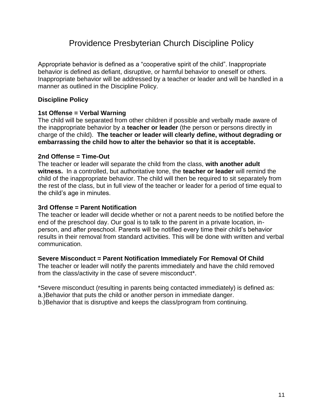#### Providence Presbyterian Church Discipline Policy

<span id="page-11-0"></span>Appropriate behavior is defined as a "cooperative spirit of the child". Inappropriate behavior is defined as defiant, disruptive, or harmful behavior to oneself or others. Inappropriate behavior will be addressed by a teacher or leader and will be handled in a manner as outlined in the Discipline Policy.

#### **Discipline Policy**

#### **1st Offense = Verbal Warning**

The child will be separated from other children if possible and verbally made aware of the inappropriate behavior by a **teacher or leader** (the person or persons directly in charge of the child). **The teacher or leader will clearly define, without degrading or embarrassing the child how to alter the behavior so that it is acceptable.** 

#### **2nd Offense = Time-Out**

The teacher or leader will separate the child from the class, **with another adult witness.** In a controlled, but authoritative tone, the **teacher or leader** will remind the child of the inappropriate behavior. The child will then be required to sit separately from the rest of the class, but in full view of the teacher or leader for a period of time equal to the child's age in minutes.

#### **3rd Offense = Parent Notification**

The teacher or leader will decide whether or not a parent needs to be notified before the end of the preschool day. Our goal is to talk to the parent in a private location, inperson, and after preschool. Parents will be notified every time their child's behavior results in their removal from standard activities. This will be done with written and verbal communication.

#### **Severe Misconduct = Parent Notification Immediately For Removal Of Child**

The teacher or leader will notify the parents immediately and have the child removed from the class/activity in the case of severe misconduct\*.

\*Severe misconduct (resulting in parents being contacted immediately) is defined as: a.)Behavior that puts the child or another person in immediate danger.

b.)Behavior that is disruptive and keeps the class/program from continuing.